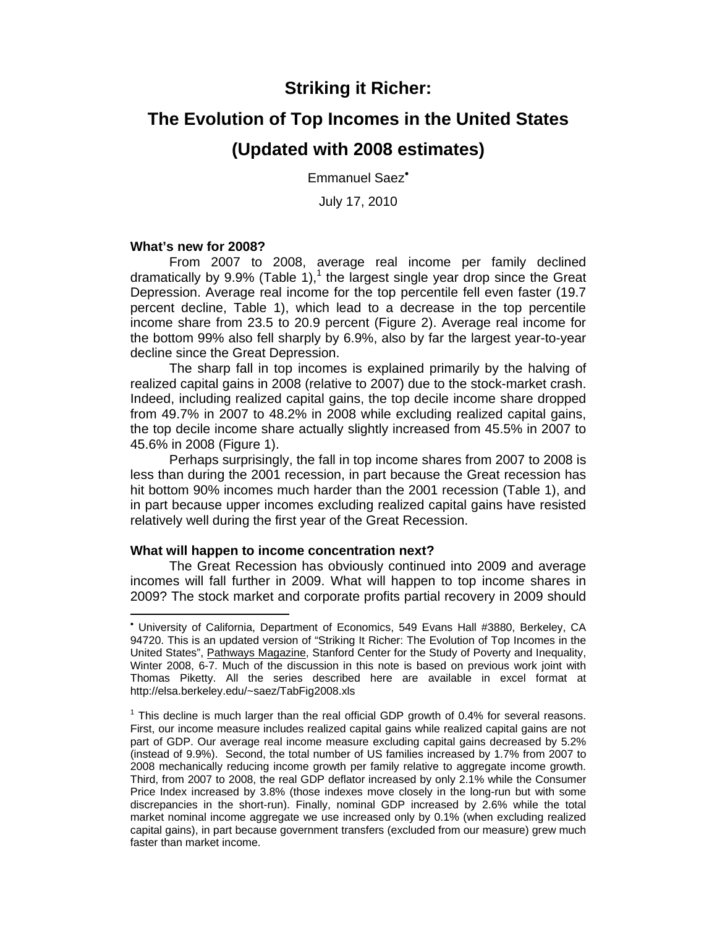# **Striking it Richer:**

# **The Evolution of Top Incomes in the United States**

## **(Updated with 2008 estimates)**

Emmanuel Saez

July 17, 2010

#### **What's new for 2008?**

-

 From 2007 to 2008, average real income per family declined dramatically by  $9.9\%$  (Table 1),<sup>1</sup> the largest single year drop since the Great Depression. Average real income for the top percentile fell even faster (19.7 percent decline, Table 1), which lead to a decrease in the top percentile income share from 23.5 to 20.9 percent (Figure 2). Average real income for the bottom 99% also fell sharply by 6.9%, also by far the largest year-to-year decline since the Great Depression.

 The sharp fall in top incomes is explained primarily by the halving of realized capital gains in 2008 (relative to 2007) due to the stock-market crash. Indeed, including realized capital gains, the top decile income share dropped from 49.7% in 2007 to 48.2% in 2008 while excluding realized capital gains, the top decile income share actually slightly increased from 45.5% in 2007 to 45.6% in 2008 (Figure 1).

 Perhaps surprisingly, the fall in top income shares from 2007 to 2008 is less than during the 2001 recession, in part because the Great recession has hit bottom 90% incomes much harder than the 2001 recession (Table 1), and in part because upper incomes excluding realized capital gains have resisted relatively well during the first year of the Great Recession.

#### **What will happen to income concentration next?**

 The Great Recession has obviously continued into 2009 and average incomes will fall further in 2009. What will happen to top income shares in 2009? The stock market and corporate profits partial recovery in 2009 should

 University of California, Department of Economics, 549 Evans Hall #3880, Berkeley, CA 94720. This is an updated version of "Striking It Richer: The Evolution of Top Incomes in the United States", Pathways Magazine, Stanford Center for the Study of Poverty and Inequality, Winter 2008, 6-7. Much of the discussion in this note is based on previous work joint with Thomas Piketty. All the series described here are available in excel format at http://elsa.berkeley.edu/~saez/TabFig2008.xls

 $1$  This decline is much larger than the real official GDP growth of 0.4% for several reasons. First, our income measure includes realized capital gains while realized capital gains are not part of GDP. Our average real income measure excluding capital gains decreased by 5.2% (instead of 9.9%). Second, the total number of US families increased by 1.7% from 2007 to 2008 mechanically reducing income growth per family relative to aggregate income growth. Third, from 2007 to 2008, the real GDP deflator increased by only 2.1% while the Consumer Price Index increased by 3.8% (those indexes move closely in the long-run but with some discrepancies in the short-run). Finally, nominal GDP increased by 2.6% while the total market nominal income aggregate we use increased only by 0.1% (when excluding realized capital gains), in part because government transfers (excluded from our measure) grew much faster than market income.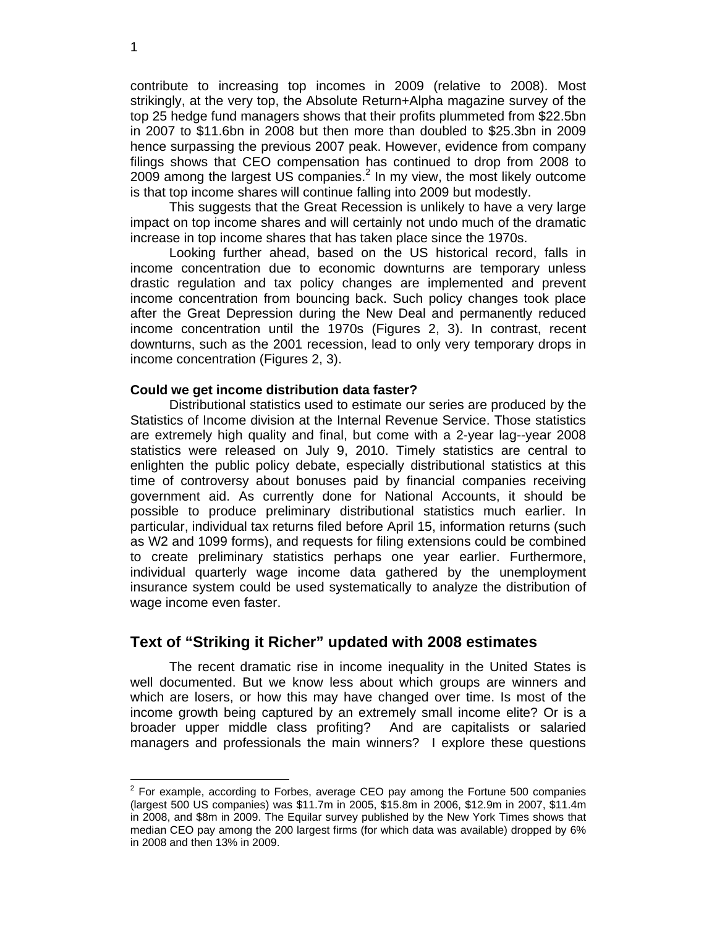contribute to increasing top incomes in 2009 (relative to 2008). Most strikingly, at the very top, the Absolute Return+Alpha magazine survey of the top 25 hedge fund managers shows that their profits plummeted from \$22.5bn in 2007 to \$11.6bn in 2008 but then more than doubled to \$25.3bn in 2009 hence surpassing the previous 2007 peak. However, evidence from company filings shows that CEO compensation has continued to drop from 2008 to 2009 among the largest US companies.<sup>2</sup> In my view, the most likely outcome is that top income shares will continue falling into 2009 but modestly.

 This suggests that the Great Recession is unlikely to have a very large impact on top income shares and will certainly not undo much of the dramatic increase in top income shares that has taken place since the 1970s.

 Looking further ahead, based on the US historical record, falls in income concentration due to economic downturns are temporary unless drastic regulation and tax policy changes are implemented and prevent income concentration from bouncing back. Such policy changes took place after the Great Depression during the New Deal and permanently reduced income concentration until the 1970s (Figures 2, 3). In contrast, recent downturns, such as the 2001 recession, lead to only very temporary drops in income concentration (Figures 2, 3).

#### **Could we get income distribution data faster?**

 Distributional statistics used to estimate our series are produced by the Statistics of Income division at the Internal Revenue Service. Those statistics are extremely high quality and final, but come with a 2-year lag--year 2008 statistics were released on July 9, 2010. Timely statistics are central to enlighten the public policy debate, especially distributional statistics at this time of controversy about bonuses paid by financial companies receiving government aid. As currently done for National Accounts, it should be possible to produce preliminary distributional statistics much earlier. In particular, individual tax returns filed before April 15, information returns (such as W2 and 1099 forms), and requests for filing extensions could be combined to create preliminary statistics perhaps one year earlier. Furthermore, individual quarterly wage income data gathered by the unemployment insurance system could be used systematically to analyze the distribution of wage income even faster.

#### **Text of "Striking it Richer" updated with 2008 estimates**

The recent dramatic rise in income inequality in the United States is well documented. But we know less about which groups are winners and which are losers, or how this may have changed over time. Is most of the income growth being captured by an extremely small income elite? Or is a broader upper middle class profiting? And are capitalists or salaried managers and professionals the main winners? I explore these questions

1

 2 For example, according to Forbes, average CEO pay among the Fortune 500 companies (largest 500 US companies) was \$11.7m in 2005, \$15.8m in 2006, \$12.9m in 2007, \$11.4m in 2008, and \$8m in 2009. The Equilar survey published by the New York Times shows that median CEO pay among the 200 largest firms (for which data was available) dropped by 6% in 2008 and then 13% in 2009.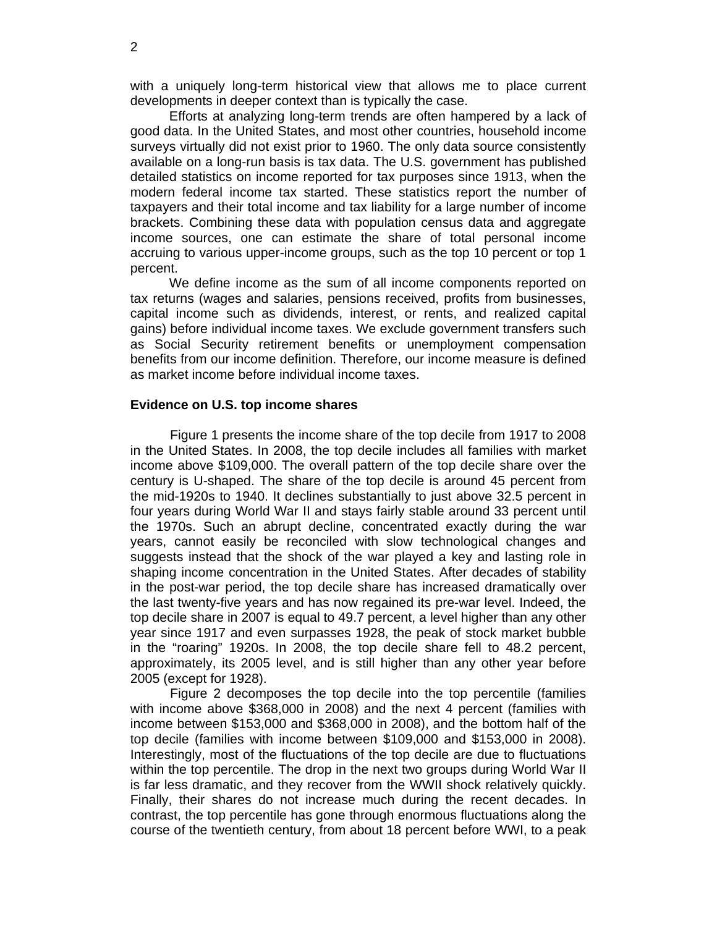with a uniquely long-term historical view that allows me to place current developments in deeper context than is typically the case.

Efforts at analyzing long-term trends are often hampered by a lack of good data. In the United States, and most other countries, household income surveys virtually did not exist prior to 1960. The only data source consistently available on a long-run basis is tax data. The U.S. government has published detailed statistics on income reported for tax purposes since 1913, when the modern federal income tax started. These statistics report the number of taxpayers and their total income and tax liability for a large number of income brackets. Combining these data with population census data and aggregate income sources, one can estimate the share of total personal income accruing to various upper-income groups, such as the top 10 percent or top 1 percent.

We define income as the sum of all income components reported on tax returns (wages and salaries, pensions received, profits from businesses, capital income such as dividends, interest, or rents, and realized capital gains) before individual income taxes. We exclude government transfers such as Social Security retirement benefits or unemployment compensation benefits from our income definition. Therefore, our income measure is defined as market income before individual income taxes.

#### **Evidence on U.S. top income shares**

Figure 1 presents the income share of the top decile from 1917 to 2008 in the United States. In 2008, the top decile includes all families with market income above \$109,000. The overall pattern of the top decile share over the century is U-shaped. The share of the top decile is around 45 percent from the mid-1920s to 1940. It declines substantially to just above 32.5 percent in four years during World War II and stays fairly stable around 33 percent until the 1970s. Such an abrupt decline, concentrated exactly during the war years, cannot easily be reconciled with slow technological changes and suggests instead that the shock of the war played a key and lasting role in shaping income concentration in the United States. After decades of stability in the post-war period, the top decile share has increased dramatically over the last twenty-five years and has now regained its pre-war level. Indeed, the top decile share in 2007 is equal to 49.7 percent, a level higher than any other year since 1917 and even surpasses 1928, the peak of stock market bubble in the "roaring" 1920s. In 2008, the top decile share fell to 48.2 percent, approximately, its 2005 level, and is still higher than any other year before 2005 (except for 1928).

Figure 2 decomposes the top decile into the top percentile (families with income above \$368,000 in 2008) and the next 4 percent (families with income between \$153,000 and \$368,000 in 2008), and the bottom half of the top decile (families with income between \$109,000 and \$153,000 in 2008). Interestingly, most of the fluctuations of the top decile are due to fluctuations within the top percentile. The drop in the next two groups during World War II is far less dramatic, and they recover from the WWII shock relatively quickly. Finally, their shares do not increase much during the recent decades. In contrast, the top percentile has gone through enormous fluctuations along the course of the twentieth century, from about 18 percent before WWI, to a peak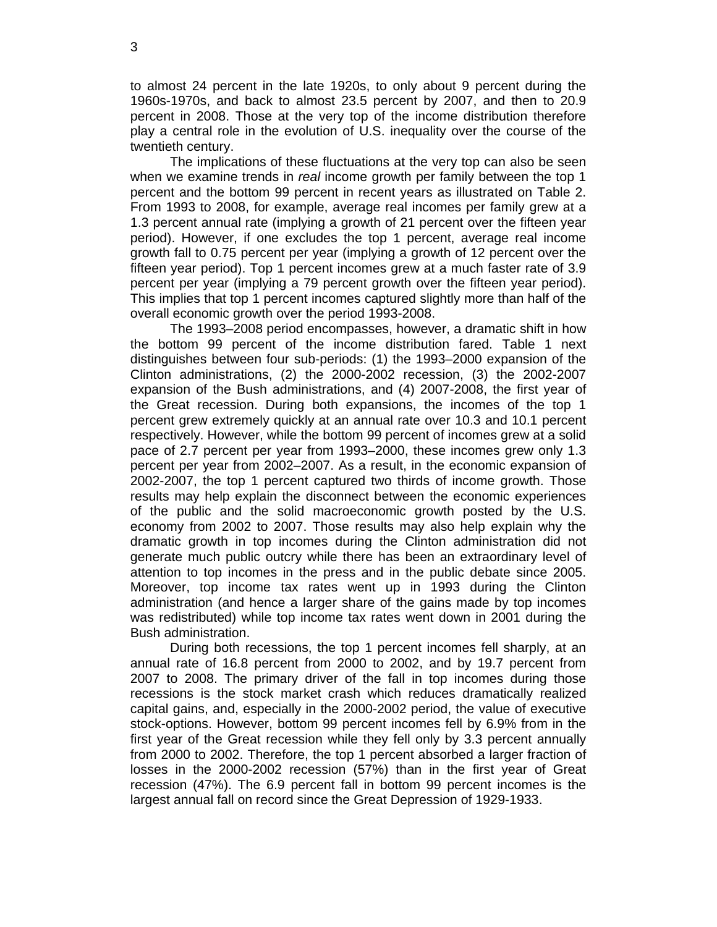to almost 24 percent in the late 1920s, to only about 9 percent during the 1960s-1970s, and back to almost 23.5 percent by 2007, and then to 20.9 percent in 2008. Those at the very top of the income distribution therefore play a central role in the evolution of U.S. inequality over the course of the twentieth century.

The implications of these fluctuations at the very top can also be seen when we examine trends in *real* income growth per family between the top 1 percent and the bottom 99 percent in recent years as illustrated on Table 2. From 1993 to 2008, for example, average real incomes per family grew at a 1.3 percent annual rate (implying a growth of 21 percent over the fifteen year period). However, if one excludes the top 1 percent, average real income growth fall to 0.75 percent per year (implying a growth of 12 percent over the fifteen year period). Top 1 percent incomes grew at a much faster rate of 3.9 percent per year (implying a 79 percent growth over the fifteen year period). This implies that top 1 percent incomes captured slightly more than half of the overall economic growth over the period 1993-2008.

The 1993–2008 period encompasses, however, a dramatic shift in how the bottom 99 percent of the income distribution fared. Table 1 next distinguishes between four sub-periods: (1) the 1993–2000 expansion of the Clinton administrations, (2) the 2000-2002 recession, (3) the 2002-2007 expansion of the Bush administrations, and (4) 2007-2008, the first year of the Great recession. During both expansions, the incomes of the top 1 percent grew extremely quickly at an annual rate over 10.3 and 10.1 percent respectively. However, while the bottom 99 percent of incomes grew at a solid pace of 2.7 percent per year from 1993–2000, these incomes grew only 1.3 percent per year from 2002–2007. As a result, in the economic expansion of 2002-2007, the top 1 percent captured two thirds of income growth. Those results may help explain the disconnect between the economic experiences of the public and the solid macroeconomic growth posted by the U.S. economy from 2002 to 2007. Those results may also help explain why the dramatic growth in top incomes during the Clinton administration did not generate much public outcry while there has been an extraordinary level of attention to top incomes in the press and in the public debate since 2005. Moreover, top income tax rates went up in 1993 during the Clinton administration (and hence a larger share of the gains made by top incomes was redistributed) while top income tax rates went down in 2001 during the Bush administration.

During both recessions, the top 1 percent incomes fell sharply, at an annual rate of 16.8 percent from 2000 to 2002, and by 19.7 percent from 2007 to 2008. The primary driver of the fall in top incomes during those recessions is the stock market crash which reduces dramatically realized capital gains, and, especially in the 2000-2002 period, the value of executive stock-options. However, bottom 99 percent incomes fell by 6.9% from in the first year of the Great recession while they fell only by 3.3 percent annually from 2000 to 2002. Therefore, the top 1 percent absorbed a larger fraction of losses in the 2000-2002 recession (57%) than in the first year of Great recession (47%). The 6.9 percent fall in bottom 99 percent incomes is the largest annual fall on record since the Great Depression of 1929-1933.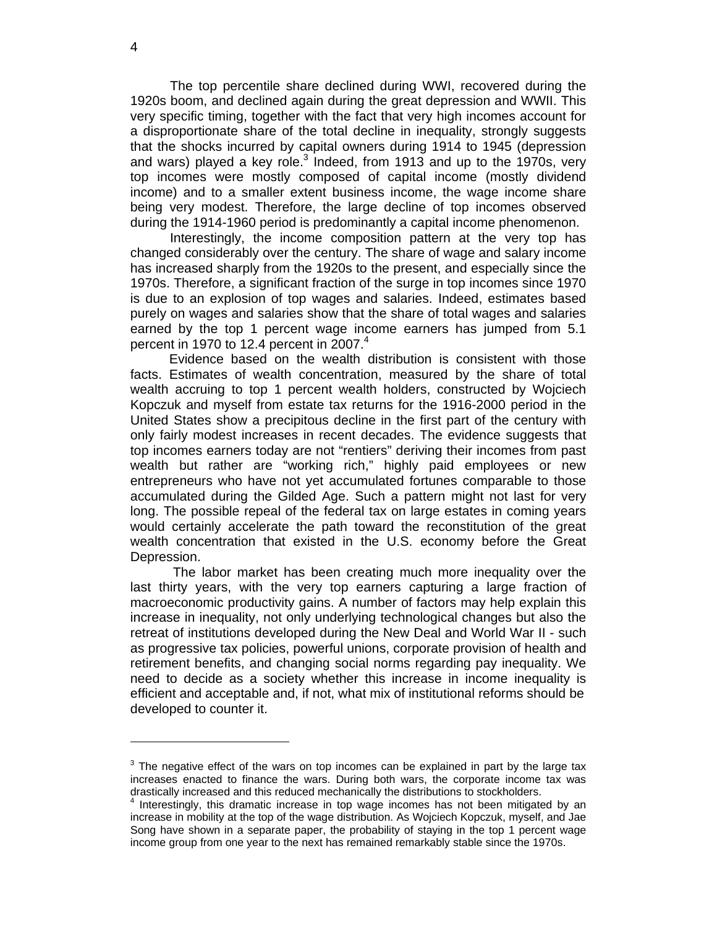The top percentile share declined during WWI, recovered during the 1920s boom, and declined again during the great depression and WWII. This very specific timing, together with the fact that very high incomes account for a disproportionate share of the total decline in inequality, strongly suggests that the shocks incurred by capital owners during 1914 to 1945 (depression and wars) played a key role.<sup>3</sup> Indeed, from 1913 and up to the 1970s, very top incomes were mostly composed of capital income (mostly dividend income) and to a smaller extent business income, the wage income share being very modest. Therefore, the large decline of top incomes observed during the 1914-1960 period is predominantly a capital income phenomenon.

Interestingly, the income composition pattern at the very top has changed considerably over the century. The share of wage and salary income has increased sharply from the 1920s to the present, and especially since the 1970s. Therefore, a significant fraction of the surge in top incomes since 1970 is due to an explosion of top wages and salaries. Indeed, estimates based purely on wages and salaries show that the share of total wages and salaries earned by the top 1 percent wage income earners has jumped from 5.1 percent in 1970 to 12.4 percent in 2007. $4$ 

 Evidence based on the wealth distribution is consistent with those facts. Estimates of wealth concentration, measured by the share of total wealth accruing to top 1 percent wealth holders, constructed by Wojciech Kopczuk and myself from estate tax returns for the 1916-2000 period in the United States show a precipitous decline in the first part of the century with only fairly modest increases in recent decades. The evidence suggests that top incomes earners today are not "rentiers" deriving their incomes from past wealth but rather are "working rich," highly paid employees or new entrepreneurs who have not yet accumulated fortunes comparable to those accumulated during the Gilded Age. Such a pattern might not last for very long. The possible repeal of the federal tax on large estates in coming years would certainly accelerate the path toward the reconstitution of the great wealth concentration that existed in the U.S. economy before the Great Depression.

 The labor market has been creating much more inequality over the last thirty years, with the very top earners capturing a large fraction of macroeconomic productivity gains. A number of factors may help explain this increase in inequality, not only underlying technological changes but also the retreat of institutions developed during the New Deal and World War II - such as progressive tax policies, powerful unions, corporate provision of health and retirement benefits, and changing social norms regarding pay inequality. We need to decide as a society whether this increase in income inequality is efficient and acceptable and, if not, what mix of institutional reforms should be developed to counter it.

-

 $3$  The negative effect of the wars on top incomes can be explained in part by the large tax increases enacted to finance the wars. During both wars, the corporate income tax was drastically increased and this reduced mechanically the distributions to stockholders.

<sup>&</sup>lt;sup>4</sup> Interestingly, this dramatic increase in top wage incomes has not been mitigated by an increase in mobility at the top of the wage distribution. As Wojciech Kopczuk, myself, and Jae Song have shown in a separate paper, the probability of staying in the top 1 percent wage income group from one year to the next has remained remarkably stable since the 1970s.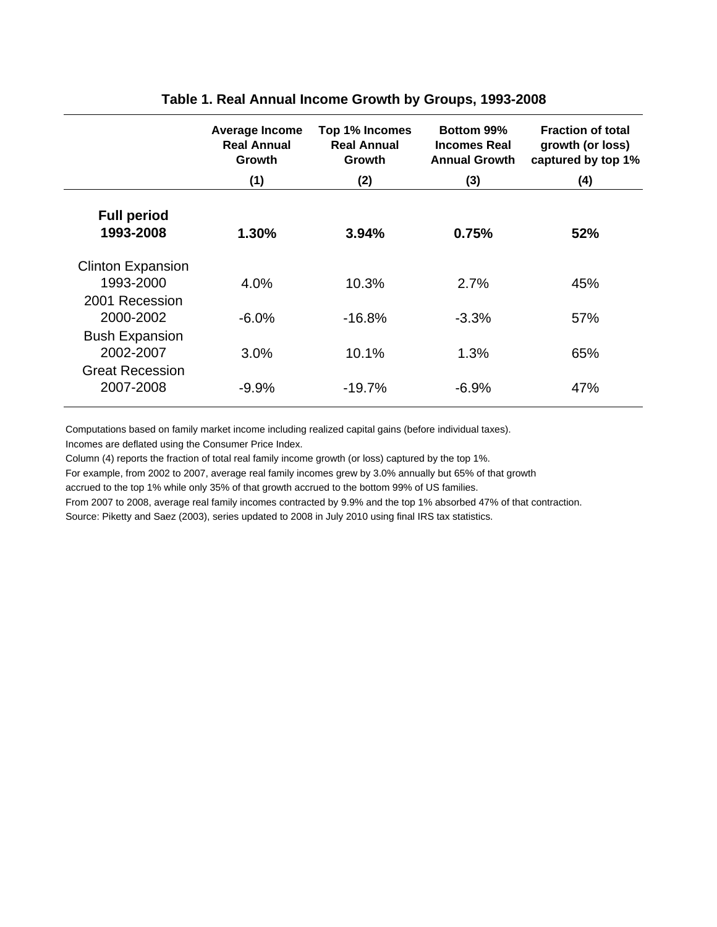|                                                              | <b>Average Income</b><br><b>Real Annual</b><br>Growth | Top 1% Incomes<br><b>Real Annual</b><br><b>Growth</b> | Bottom 99%<br><b>Incomes Real</b><br><b>Annual Growth</b> | <b>Fraction of total</b><br>growth (or loss)<br>captured by top 1% |
|--------------------------------------------------------------|-------------------------------------------------------|-------------------------------------------------------|-----------------------------------------------------------|--------------------------------------------------------------------|
|                                                              | (1)                                                   | (2)                                                   | (3)                                                       | (4)                                                                |
| <b>Full period</b><br>1993-2008                              | 1.30%                                                 | 3.94%                                                 | 0.75%                                                     | 52%                                                                |
| <b>Clinton Expansion</b><br>1993-2000                        | $4.0\%$                                               | 10.3%                                                 | 2.7%                                                      | 45%                                                                |
| 2001 Recession<br>2000-2002                                  | $-6.0\%$                                              | $-16.8%$                                              | $-3.3%$                                                   | 57%                                                                |
| <b>Bush Expansion</b><br>2002-2007<br><b>Great Recession</b> | 3.0%                                                  | 10.1%                                                 | 1.3%                                                      | 65%                                                                |
| 2007-2008                                                    | $-9.9%$                                               | $-19.7%$                                              | $-6.9%$                                                   | 47%                                                                |

### **Table 1. Real Annual Income Growth by Groups, 1993-2008**

Computations based on family market income including realized capital gains (before individual taxes).

Incomes are deflated using the Consumer Price Index.

Column (4) reports the fraction of total real family income growth (or loss) captured by the top 1%.

For example, from 2002 to 2007, average real family incomes grew by 3.0% annually but 65% of that growth

accrued to the top 1% while only 35% of that growth accrued to the bottom 99% of US families.

From 2007 to 2008, average real family incomes contracted by 9.9% and the top 1% absorbed 47% of that contraction.

Source: Piketty and Saez (2003), series updated to 2008 in July 2010 using final IRS tax statistics.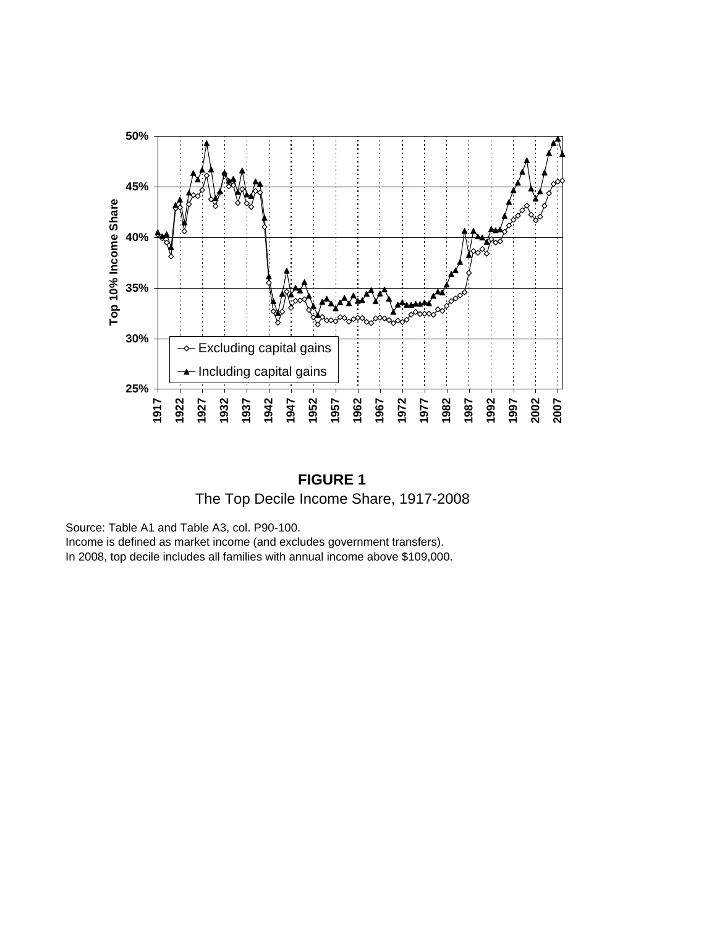

**FIGURE 1** The Top Decile Income Share, 1917-2008

Source: Table A1 and Table A3, col. P90-100.

Income is defined as market income (and excludes government transfers).

In 2008, top decile includes all families with annual income above \$109,000.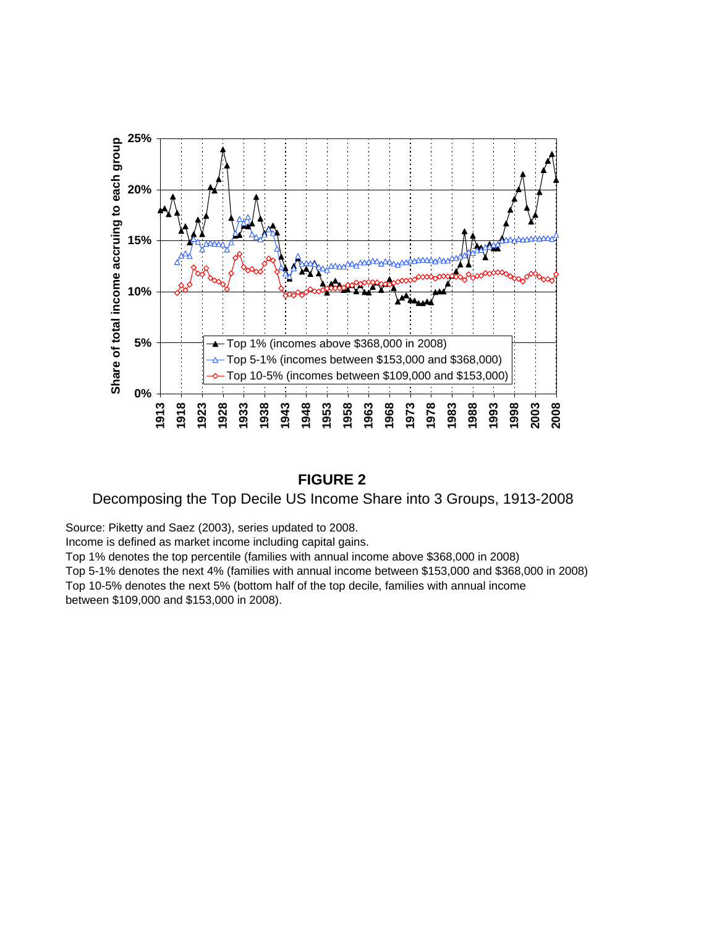

### **FIGURE 2**

### Decomposing the Top Decile US Income Share into 3 Groups, 1913-2008

Source: Piketty and Saez (2003), series updated to 2008.

Income is defined as market income including capital gains.

Top 1% denotes the top percentile (families with annual income above \$368,000 in 2008) Top 5-1% denotes the next 4% (families with annual income between \$153,000 and \$368,000 in 2008) Top 10-5% denotes the next 5% (bottom half of the top decile, families with annual income

between \$109,000 and \$153,000 in 2008).